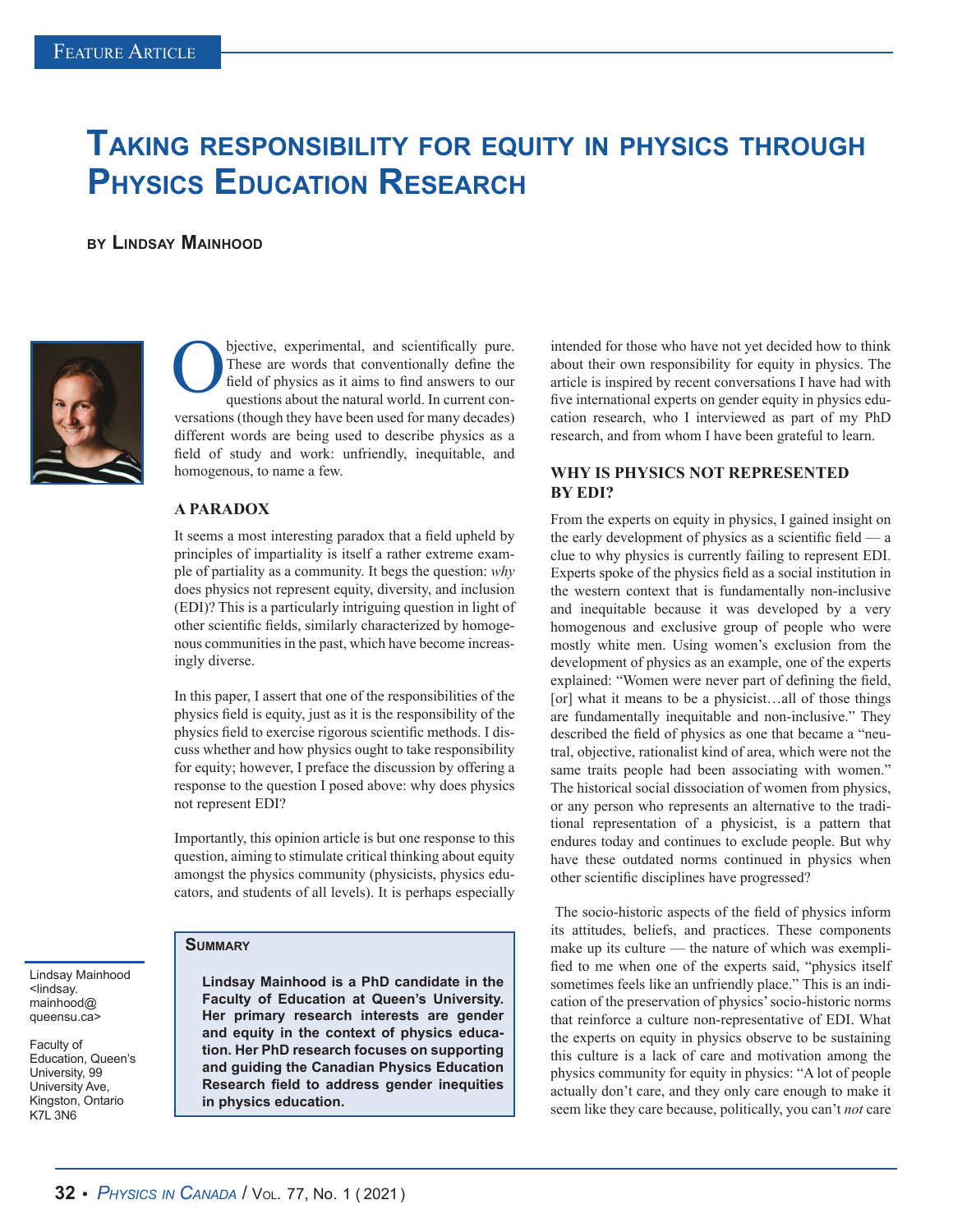# **Taking responsibility for equity in physics through Physics Education Research**

**by Lindsay Mainhood**



bjective, experimental, and scientifically pure. These are words that conventionally define the field of physics as it aims to find answers to our questions about the natural world. In current conversations (though they have been used for many decades) different words are being used to describe physics as a field of study and work: unfriendly, inequitable, and homogenous, to name a few.

#### **A PARADOX**

It seems a most interesting paradox that a field upheld by principles of impartiality is itself a rather extreme example of partiality as a community. It begs the question: *why* does physics not represent equity, diversity, and inclusion (EDI)? This is a particularly intriguing question in light of other scientific fields, similarly characterized by homogenous communities in the past, which have become increasingly diverse.

In this paper, I assert that one of the responsibilities of the physics field is equity, just as it is the responsibility of the physics field to exercise rigorous scientific methods. I discuss whether and how physics ought to take responsibility for equity; however, I preface the discussion by offering a response to the question I posed above: why does physics not represent EDI?

Importantly, this opinion article is but one response to this question, aiming to stimulate critical thinking about equity amongst the physics community (physicists, physics educators, and students of all levels). It is perhaps especially

#### Lindsay Mainhood <lindsay. mainhood@ queensu.ca>

Faculty of Education, Queen's University, 99 University Ave, Kingston, Ontario K7L 3N6

### **Summary**

**Lindsay Mainhood is a PhD candidate in the Faculty of Education at Queen's University. Her primary research interests are gender and equity in the context of physics education. Her PhD research focuses on supporting and guiding the Canadian Physics Education Research field to address gender inequities in physics education.**

intended for those who have not yet decided how to think about their own responsibility for equity in physics. The article is inspired by recent conversations I have had with five international experts on gender equity in physics education research, who I interviewed as part of my PhD research, and from whom I have been grateful to learn.

## **WHY IS PHYSICS NOT REPRESENTED BY EDI?**

From the experts on equity in physics, I gained insight on the early development of physics as a scientific field — a clue to why physics is currently failing to represent EDI. Experts spoke of the physics field as a social institution in the western context that is fundamentally non-inclusive and inequitable because it was developed by a very homogenous and exclusive group of people who were mostly white men. Using women's exclusion from the development of physics as an example, one of the experts explained: "Women were never part of defining the field, [or] what it means to be a physicist...all of those things are fundamentally inequitable and non-inclusive." They described the field of physics as one that became a "neutral, objective, rationalist kind of area, which were not the same traits people had been associating with women." The historical social dissociation of women from physics, or any person who represents an alternative to the traditional representation of a physicist, is a pattern that endures today and continues to exclude people. But why have these outdated norms continued in physics when other scientific disciplines have progressed?

 The socio-historic aspects of the field of physics inform its attitudes, beliefs, and practices. These components make up its culture — the nature of which was exemplified to me when one of the experts said, "physics itself sometimes feels like an unfriendly place." This is an indication of the preservation of physics' socio-historic norms that reinforce a culture non-representative of EDI. What the experts on equity in physics observe to be sustaining this culture is a lack of care and motivation among the physics community for equity in physics: "A lot of people actually don't care, and they only care enough to make it seem like they care because, politically, you can't *not* care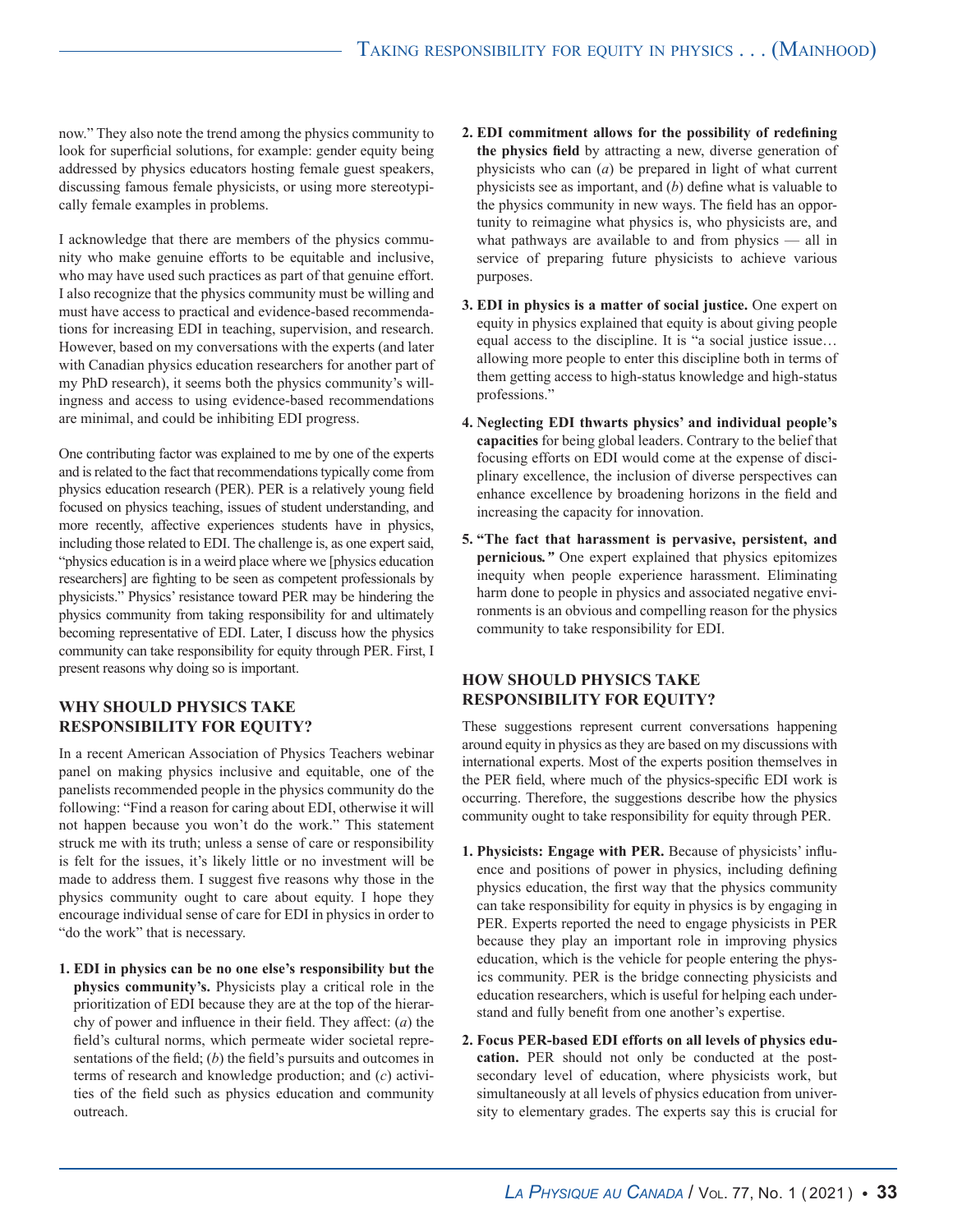now." They also note the trend among the physics community to look for superficial solutions, for example: gender equity being addressed by physics educators hosting female guest speakers, discussing famous female physicists, or using more stereotypically female examples in problems.

I acknowledge that there are members of the physics community who make genuine efforts to be equitable and inclusive, who may have used such practices as part of that genuine effort. I also recognize that the physics community must be willing and must have access to practical and evidence-based recommendations for increasing EDI in teaching, supervision, and research. However, based on my conversations with the experts (and later with Canadian physics education researchers for another part of my PhD research), it seems both the physics community's willingness and access to using evidence-based recommendations are minimal, and could be inhibiting EDI progress.

One contributing factor was explained to me by one of the experts and is related to the fact that recommendations typically come from physics education research (PER). PER is a relatively young field focused on physics teaching, issues of student understanding, and more recently, affective experiences students have in physics, including those related to EDI. The challenge is, as one expert said, "physics education is in a weird place where we [physics education researchers] are fighting to be seen as competent professionals by physicists." Physics' resistance toward PER may be hindering the physics community from taking responsibility for and ultimately becoming representative of EDI. Later, I discuss how the physics community can take responsibility for equity through PER. First, I present reasons why doing so is important.

### **WHY SHOULD PHYSICS TAKE RESPONSIBILITY FOR EQUITY?**

In a recent American Association of Physics Teachers webinar panel on making physics inclusive and equitable, one of the panelists recommended people in the physics community do the following: "Find a reason for caring about EDI, otherwise it will not happen because you won't do the work." This statement struck me with its truth; unless a sense of care or responsibility is felt for the issues, it's likely little or no investment will be made to address them. I suggest five reasons why those in the physics community ought to care about equity. I hope they encourage individual sense of care for EDI in physics in order to "do the work" that is necessary.

**1. EDI in physics can be no one else's responsibility but the physics community's.** Physicists play a critical role in the prioritization of EDI because they are at the top of the hierarchy of power and influence in their field. They affect: (*a*) the field's cultural norms, which permeate wider societal representations of the field; (*b*) the field's pursuits and outcomes in terms of research and knowledge production; and (*c*) activities of the field such as physics education and community outreach.

- **2. EDI commitment allows for the possibility of redefining the physics field** by attracting a new, diverse generation of physicists who can (*a*) be prepared in light of what current physicists see as important, and (*b*) define what is valuable to the physics community in new ways. The field has an opportunity to reimagine what physics is, who physicists are, and what pathways are available to and from physics — all in service of preparing future physicists to achieve various purposes.
- **3. EDI in physics is a matter of social justice.** One expert on equity in physics explained that equity is about giving people equal access to the discipline. It is "a social justice issue… allowing more people to enter this discipline both in terms of them getting access to high-status knowledge and high-status professions."
- **4. Neglecting EDI thwarts physics' and individual people's capacities** for being global leaders. Contrary to the belief that focusing efforts on EDI would come at the expense of disciplinary excellence, the inclusion of diverse perspectives can enhance excellence by broadening horizons in the field and increasing the capacity for innovation.
- **5. "The fact that harassment is pervasive, persistent, and pernicious***."* One expert explained that physics epitomizes inequity when people experience harassment. Eliminating harm done to people in physics and associated negative environments is an obvious and compelling reason for the physics community to take responsibility for EDI.

# **HOW SHOULD PHYSICS TAKE RESPONSIBILITY FOR EQUITY?**

These suggestions represent current conversations happening around equity in physics as they are based on my discussions with international experts. Most of the experts position themselves in the PER field, where much of the physics-specific EDI work is occurring. Therefore, the suggestions describe how the physics community ought to take responsibility for equity through PER.

- **1. Physicists: Engage with PER.** Because of physicists' influence and positions of power in physics, including defining physics education, the first way that the physics community can take responsibility for equity in physics is by engaging in PER. Experts reported the need to engage physicists in PER because they play an important role in improving physics education, which is the vehicle for people entering the physics community. PER is the bridge connecting physicists and education researchers, which is useful for helping each understand and fully benefit from one another's expertise.
- **2. Focus PER-based EDI efforts on all levels of physics education.** PER should not only be conducted at the postsecondary level of education, where physicists work, but simultaneously at all levels of physics education from university to elementary grades. The experts say this is crucial for